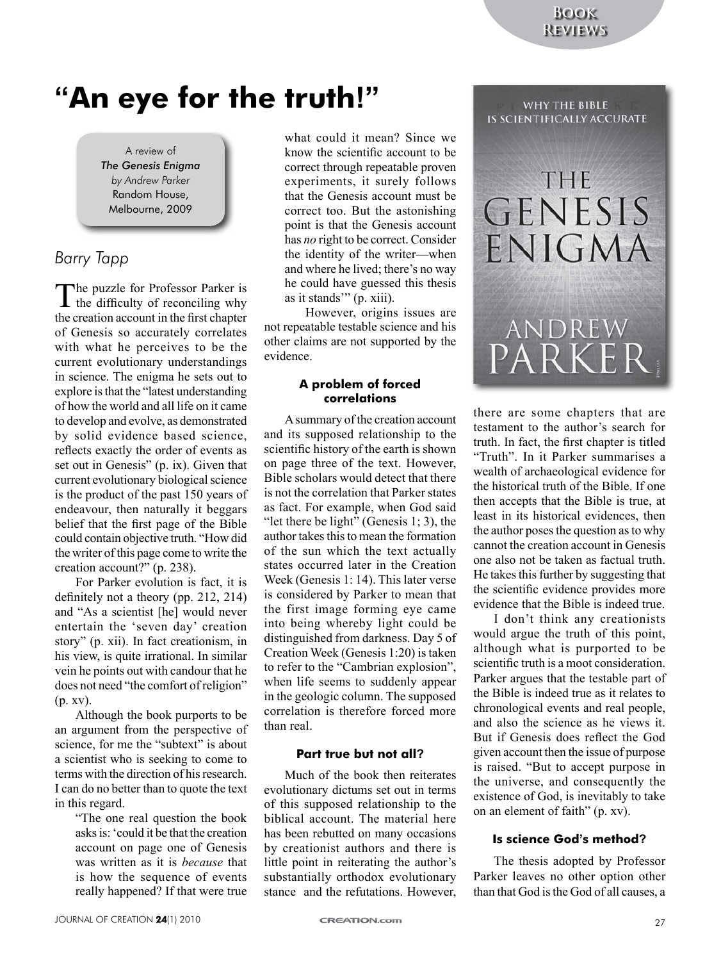WHY THE BIBLE

# **"An eye for the truth!"**

A review of *The Genesis Enigma by Andrew Parker* Random House, Melbourne, 2009

## *Barry Tapp*

The puzzle for Professor Parker is<br>the difficulty of reconciling why the creation account in the first chapter of Genesis so accurately correlates with what he perceives to be the current evolutionary understandings in science. The enigma he sets out to explore is that the "latest understanding of how the world and all life on it came to develop and evolve, as demonstrated by solid evidence based science, reflects exactly the order of events as set out in Genesis" (p. ix). Given that current evolutionary biological science is the product of the past 150 years of endeavour, then naturally it beggars belief that the first page of the Bible could contain objective truth. "How did the writer of this page come to write the creation account?" (p. 238).

For Parker evolution is fact, it is definitely not a theory (pp. 212, 214) and "As a scientist [he] would never entertain the 'seven day' creation story" (p. xii). In fact creationism, in his view, is quite irrational. In similar vein he points out with candour that he does not need "the comfort of religion" (p. xv).

Although the book purports to be an argument from the perspective of science, for me the "subtext" is about a scientist who is seeking to come to terms with the direction of his research. I can do no better than to quote the text in this regard.

"The one real question the book asks is: 'could it be that the creation account on page one of Genesis was written as it is *because* that is how the sequence of events really happened? If that were true

what could it mean? Since we know the scientific account to be correct through repeatable proven experiments, it surely follows that the Genesis account must be correct too. But the astonishing point is that the Genesis account has *no* right to be correct. Consider the identity of the writer—when and where he lived; there's no way he could have guessed this thesis as it stands'" (p. xiii).

However, origins issues are not repeatable testable science and his other claims are not supported by the evidence.

#### **A problem of forced correlations**

A summary of the creation account and its supposed relationship to the scientific history of the earth is shown on page three of the text. However, Bible scholars would detect that there is not the correlation that Parker states as fact. For example, when God said "let there be light" (Genesis 1; 3), the author takes this to mean the formation of the sun which the text actually states occurred later in the Creation Week (Genesis 1: 14). This later verse is considered by Parker to mean that the first image forming eye came into being whereby light could be distinguished from darkness. Day 5 of Creation Week (Genesis 1:20) is taken to refer to the "Cambrian explosion", when life seems to suddenly appear in the geologic column. The supposed correlation is therefore forced more than real.

## **Part true but not all?**

Much of the book then reiterates evolutionary dictums set out in terms of this supposed relationship to the biblical account. The material here has been rebutted on many occasions by creationist authors and there is little point in reiterating the author's substantially orthodox evolutionary stance and the refutations. However,



there are some chapters that are testament to the author's search for truth. In fact, the first chapter is titled "Truth". In it Parker summarises a wealth of archaeological evidence for the historical truth of the Bible. If one then accepts that the Bible is true, at least in its historical evidences, then the author poses the question as to why cannot the creation account in Genesis one also not be taken as factual truth. He takes this further by suggesting that the scientific evidence provides more evidence that the Bible is indeed true.

I don't think any creationists would argue the truth of this point, although what is purported to be scientific truth is a moot consideration. Parker argues that the testable part of the Bible is indeed true as it relates to chronological events and real people, and also the science as he views it. But if Genesis does reflect the God given account then the issue of purpose is raised. "But to accept purpose in the universe, and consequently the existence of God, is inevitably to take on an element of faith" (p. xv).

### **Is science God's method?**

The thesis adopted by Professor Parker leaves no other option other than that God is the God of all causes, a